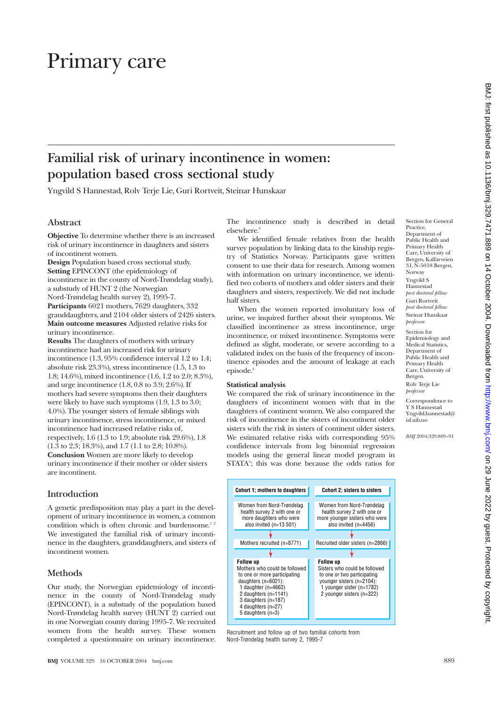# Primary care

## **Familial risk of urinary incontinence in women: population based cross sectional study**

Yngvild S Hannestad, Rolv Terje Lie, Guri Rortveit, Steinar Hunskaar

#### **Abstract**

**Objective** To determine whether there is an increased risk of urinary incontinence in daughters and sisters of incontinent women.

**Design** Population based cross sectional study. **Setting** EPINCONT (the epidemiology of incontinence in the county of Nord-Trøndelag study), a substudy of HUNT 2 (the Norwegian Nord-Trøndelag health survey 2), 1995-7. **Participants** 6021 mothers, 7629 daughters, 332 granddaughters, and 2104 older sisters of 2426 sisters. **Main outcome measures** Adjusted relative risks for urinary incontinence.

**Results** The daughters of mothers with urinary incontinence had an increased risk for urinary incontinence (1.3, 95% confidence interval 1.2 to 1.4; absolute risk 23.3%), stress incontinence (1.5, 1.3 to 1.8; 14.6%), mixed incontinence (1.6, 1.2 to 2.0; 8.3%), and urge incontinence (1.8, 0.8 to 3.9; 2.6%). If mothers had severe symptoms then their daughters were likely to have such symptoms (1.9, 1.3 to 3.0; 4.0%). The younger sisters of female siblings with urinary incontinence, stress incontinence, or mixed incontinence had increased relative risks of, respectively, 1.6 (1.3 to 1.9; absolute risk 29.6%), 1.8 (1.3 to 2.3; 18.3%), and 1.7 (1.1 to 2.8; 10.8%). **Conclusion** Women are more likely to develop urinary incontinence if their mother or older sisters are incontinent.

#### **Introduction**

A genetic predisposition may play a part in the development of urinary incontinence in women, a common condition which is often chronic and burdensome.<sup>12</sup> We investigated the familial risk of urinary incontinence in the daughters, granddaughters, and sisters of incontinent women.

#### **Methods**

Our study, the Norwegian epidemiology of incontinence in the county of Nord-Trøndelag study (EPINCONT), is a substudy of the population based Nord-Trøndelag health survey (HUNT 2) carried out in one Norwegian county during 1995-7. We recruited women from the health survey. These women completed a questionnaire on urinary incontinence.

**BMJ** VOLUME 329 16 OCTOBER 2004 bmj.com 889

The incontinence study is described in detail elsewhere.<sup>3</sup>

We identified female relatives from the health survey population by linking data to the kinship registry of Statistics Norway. Participants gave written consent to use their data for research. Among women with information on urinary incontinence, we identified two cohorts of mothers and older sisters and their daughters and sisters, respectively. We did not include half sisters.

When the women reported involuntary loss of urine, we inquired further about their symptoms. We classified incontinence as stress incontinence, urge incontinence, or mixed incontinence. Symptoms were defined as slight, moderate, or severe according to a validated index on the basis of the frequency of incontinence episodes and the amount of leakage at each episode.4

#### **Statistical analysis**

We compared the risk of urinary incontinence in the daughters of incontinent women with that in the daughters of continent women. We also compared the risk of incontinence in the sisters of incontinent older sisters with the risk in sisters of continent older sisters. We estimated relative risks with corresponding 95% confidence intervals from log binomial regression models using the general linear model program in STATA<sup>5</sup>; this was done because the odds ratios for



*post doctoral fellow* Steinar Hunskaar *professor*

Section for Epidemiology and Medical Statistics, Department of Public Health and Primary Health Care, University of Bergen Rolv Terje Lie *professor*

Correspondence to Y S Hannestad Yngvild.hannestad@ isf.uib.no

*BMJ* 2004;329:889–91



Recruitment and follow up of two familial cohorts from Nord-Trøndelag health survey 2, 1995-7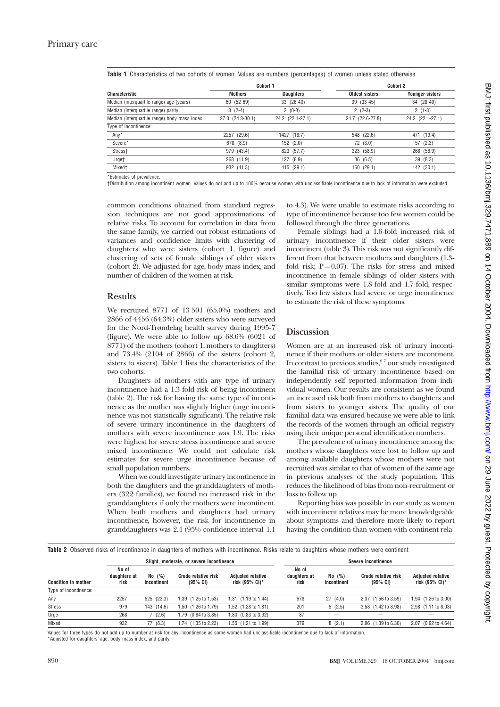|                                              | Cohort 1         |                  | <b>Cohort 2</b>  |                        |  |
|----------------------------------------------|------------------|------------------|------------------|------------------------|--|
| <b>Characteristic</b>                        | <b>Mothers</b>   | <b>Daughters</b> | Oldest sisters   | <b>Younger sisters</b> |  |
| Median (interquartile range) age (years)     | 60 (52-69)       | 33 (26-40)       | 39 (33-45)       | 34 (28-40)             |  |
| Median (interquartile range) parity          | $3(2-4)$         | $2(0-3)$         | $2(2-3)$         | $2(1-3)$               |  |
| Median (interquartile range) body mass index | 27.0 (24.3-30.1) | 24.2 (22.1-27.1) | 24.7 (22.6-27.8) | 24.2 (22.1-27.1)       |  |
| Type of incontinence:                        |                  |                  |                  |                        |  |
| Any*                                         | 2257 (29.6)      | 1427 (18.7)      | 548 (22.6)       | 471 (19.4)             |  |
| Severe*                                      | 678 (8.9)        | 152(2.0)         | 72(3.0)          | 57(2.3)                |  |
| Stress <sup>+</sup>                          | 979 (43.4)       | 823 (57.7)       | 323 (58.9)       | 268 (56.9)             |  |
| Urget                                        | 268 (11.9)       | 127(8.9)         | 36(6.5)          | 39 (8.3)               |  |
| Mixed <sup>+</sup>                           | 932 (41.3)       | 415 (29.1)       | 160 (29.1)       | 142 (30.1)             |  |

**Table 1** Characteristics of two cohorts of women. Values are numbers (percentages) of women unless stated otherwise

\*Estimates of prevalence.

†Distribution among incontinent women. Values do not add up to 100% because women with unclassifiable incontinence due to lack of information were excluded.

common conditions obtained from standard regression techniques are not good approximations of relative risks. To account for correlation in data from the same family, we carried out robust estimations of variances and confidence limits with clustering of daughters who were sisters (cohort 1, figure) and clustering of sets of female siblings of older sisters (cohort 2). We adjusted for age, body mass index, and number of children of the women at risk.

#### **Results**

We recruited 8771 of 13 501 (65.0%) mothers and 2866 of 4456 (64.3%) older sisters who were surveyed for the Nord-Trøndelag health survey during 1995-7 (figure). We were able to follow up 68.6% (6021 of 8771) of the mothers (cohort 1, mothers to daughters) and 73.4% (2104 of 2866) of the sisters (cohort 2, sisters to sisters). Table 1 lists the characteristics of the two cohorts.

Daughters of mothers with any type of urinary incontinence had a 1.3-fold risk of being incontinent (table 2). The risk for having the same type of incontinence as the mother was slightly higher (urge incontinence was not statistically significant). The relative risk of severe urinary incontinence in the daughters of mothers with severe incontinence was 1.9. The risks were highest for severe stress incontinence and severe mixed incontinence. We could not calculate risk estimates for severe urge incontinence because of small population numbers.

When we could investigate urinary incontinence in both the daughters and the granddaughters of mothers (322 families), we found no increased risk in the granddaughters if only the mothers were incontinent. When both mothers and daughters had urinary incontinence, however, the risk for incontinence in granddaughters was 2.4 (95% confidence interval 1.1

to 4.3). We were unable to estimate risks according to type of incontinence because too few women could be followed through the three generations.

Female siblings had a 1.6-fold increased risk of urinary incontinence if their older sisters were incontinent (table 3). This risk was not significantly different from that between mothers and daughters (1.3 fold risk;  $P = 0.07$ ). The risks for stress and mixed incontinence in female siblings of older sisters with similar symptoms were 1.8-fold and 1.7-fold, respectively. Too few sisters had severe or urge incontinence to estimate the risk of these symptoms.

#### **Discussion**

Women are at an increased risk of urinary incontinence if their mothers or older sisters are incontinent. In contrast to previous studies,  $67$  our study investigated the familial risk of urinary incontinence based on independently self reported information from individual women. Our results are consistent as we found an increased risk both from mothers to daughters and from sisters to younger sisters. The quality of our familial data was ensured because we were able to link the records of the women through an official registry using their unique personal identification numbers.

The prevalence of urinary incontinence among the mothers whose daughters were lost to follow up and among available daughters whose mothers were not recruited was similar to that of women of the same age in previous analyses of the study population. This reduces the likelihood of bias from non-recruitment or loss to follow up.

Reporting bias was possible in our study as women with incontinent relatives may be more knowledgeable about symptoms and therefore more likely to report having the condition than women with continent rela-

**Table 2** Observed risks of incontinence in daughters of mothers with incontinence. Risks relate to daughters whose mothers were continent

|                            | Slight, moderate, or severe incontinence |                         |                                            |                                            | Severe incontinence           |                       |                                            |                                            |
|----------------------------|------------------------------------------|-------------------------|--------------------------------------------|--------------------------------------------|-------------------------------|-----------------------|--------------------------------------------|--------------------------------------------|
| <b>Condition in mother</b> | No of<br>daughters at<br>risk            | No $(%)$<br>incontinent | Crude relative risk<br>$(95\% \text{ CI})$ | <b>Adiusted relative</b><br>risk (95% CI)* | No of<br>daughters at<br>risk | No (%)<br>incontinent | Crude relative risk<br>$(95\% \text{ CI})$ | <b>Adiusted relative</b><br>risk (95% CI)* |
| Type of incontinence:      |                                          |                         |                                            |                                            |                               |                       |                                            |                                            |
| Any                        | 2257                                     | 525 (23.3)              | $(1.25 \text{ to } 1.53)$<br>1.39          | 1.31 (1.19 to 1.44)                        | 678                           | 27(4.0)               | $(1.56 \text{ to } 3.59)$<br>2.37          | $1.94$ $(1.26 \text{ to } 3.00)$           |
| <b>Stress</b>              | 979                                      | (14.6)<br>143           | $(1.26 \text{ to } 1.79)$<br>1.50          | 1.52 (1.28 to 1.81)                        | 201                           | 5(2.5)                | 3.58 (1.42 to 8.98)                        | 2.98 (1.11 to 8.03)                        |
| Urge                       | 268                                      | 7(2.6)                  | 1.79 (0.84 to 3.85)                        | 1.80 (0.83 to 3.92)                        | 87                            |                       |                                            |                                            |
| Mixed                      | 932                                      | 77 (8.3)                | 1.74 (1.35 to 2.23)                        | 1.55 (1.21 to 1.99)                        | 379                           | 8(2.1)                | 2.96 (1.39 to 6.30)                        | 2.07 (0.92 to 4.64)                        |

Values for three types do not add up to number at risk for any incontinence as some women had unclassifiable incontinence due to lack of information. \*Adjusted for daughters' age, body mass index, and parity.